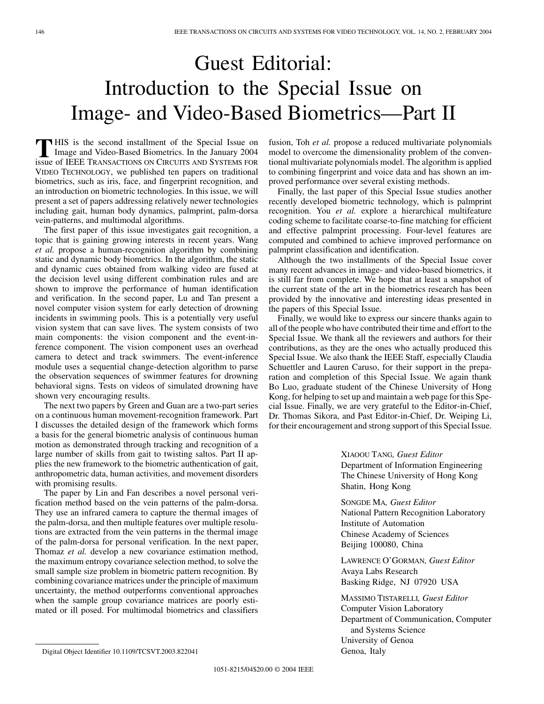## Guest Editorial: Introduction to the Special Issue on Image- and Video-Based Biometrics—Part II

**T** HIS is the second installment of the Special Issue on Image and Video-Based Biometrics. In the January 2004 issue of IEEE TRANSACTIONS ON CIRCUITS AND SYSTEMS FOR VIDEO TECHNOLOGY, we published ten papers on traditional biometrics, such as iris, face, and fingerprint recognition, and an introduction on biometric technologies. In this issue, we will present a set of papers addressing relatively newer technologies including gait, human body dynamics, palmprint, palm-dorsa vein-patterns, and multimodal algorithms.

The first paper of this issue investigates gait recognition, a topic that is gaining growing interests in recent years. Wang *et al.* propose a human-recognition algorithm by combining static and dynamic body biometrics. In the algorithm, the static and dynamic cues obtained from walking video are fused at the decision level using different combination rules and are shown to improve the performance of human identification and verification. In the second paper, Lu and Tan present a novel computer vision system for early detection of drowning incidents in swimming pools. This is a potentially very useful vision system that can save lives. The system consists of two main components: the vision component and the event-inference component. The vision component uses an overhead camera to detect and track swimmers. The event-inference module uses a sequential change-detection algorithm to parse the observation sequences of swimmer features for drowning behavioral signs. Tests on videos of simulated drowning have shown very encouraging results.

The next two papers by Green and Guan are a two-part series on a continuous human movement-recognition framework. Part I discusses the detailed design of the framework which forms a basis for the general biometric analysis of continuous human motion as demonstrated through tracking and recognition of a large number of skills from gait to twisting saltos. Part II applies the new framework to the biometric authentication of gait, anthropometric data, human activities, and movement disorders with promising results.

The paper by Lin and Fan describes a novel personal verification method based on the vein patterns of the palm-dorsa. They use an infrared camera to capture the thermal images of the palm-dorsa, and then multiple features over multiple resolutions are extracted from the vein patterns in the thermal image of the palm-dorsa for personal verification. In the next paper, Thomaz *et al.* develop a new covariance estimation method, the maximum entropy covariance selection method, to solve the small sample size problem in biometric pattern recognition. By combining covariance matrices under the principle of maximum uncertainty, the method outperforms conventional approaches when the sample group covariance matrices are poorly estimated or ill posed. For multimodal biometrics and classifiers

fusion, Toh *et al.* propose a reduced multivariate polynomials model to overcome the dimensionality problem of the conventional multivariate polynomials model. The algorithm is applied to combining fingerprint and voice data and has shown an improved performance over several existing methods.

Finally, the last paper of this Special Issue studies another recently developed biometric technology, which is palmprint recognition. You *et al.* explore a hierarchical multifeature coding scheme to facilitate coarse-to-fine matching for efficient and effective palmprint processing. Four-level features are computed and combined to achieve improved performance on palmprint classification and identification.

Although the two installments of the Special Issue cover many recent advances in image- and video-based biometrics, it is still far from complete. We hope that at least a snapshot of the current state of the art in the biometrics research has been provided by the innovative and interesting ideas presented in the papers of this Special Issue.

Finally, we would like to express our sincere thanks again to all of the people who have contributed their time and effort to the Special Issue. We thank all the reviewers and authors for their contributions, as they are the ones who actually produced this Special Issue. We also thank the IEEE Staff, especially Claudia Schuettler and Lauren Caruso, for their support in the preparation and completion of this Special Issue. We again thank Bo Luo, graduate student of the Chinese University of Hong Kong, for helping to set up and maintain a web page for this Special Issue. Finally, we are very grateful to the Editor-in-Chief, Dr. Thomas Sikora, and Past Editor-in-Chief, Dr. Weiping Li, for their encouragement and strong support of this Special Issue.

> XIAOOU TANG*, Guest Editor* Department of Information Engineering The Chinese University of Hong Kong Shatin, Hong Kong

SONGDE MA*, Guest Editor* National Pattern Recognition Laboratory Institute of Automation Chinese Academy of Sciences Beijing 100080, China

LAWRENCE O'GORMAN*, Guest Editor* Avaya Labs Research Basking Ridge, NJ 07920 USA

MASSIMO TISTARELLI*, Guest Editor* Computer Vision Laboratory Department of Communication, Computer and Systems Science University of Genoa Genoa, Italy

Digital Object Identifier 10.1109/TCSVT.2003.822041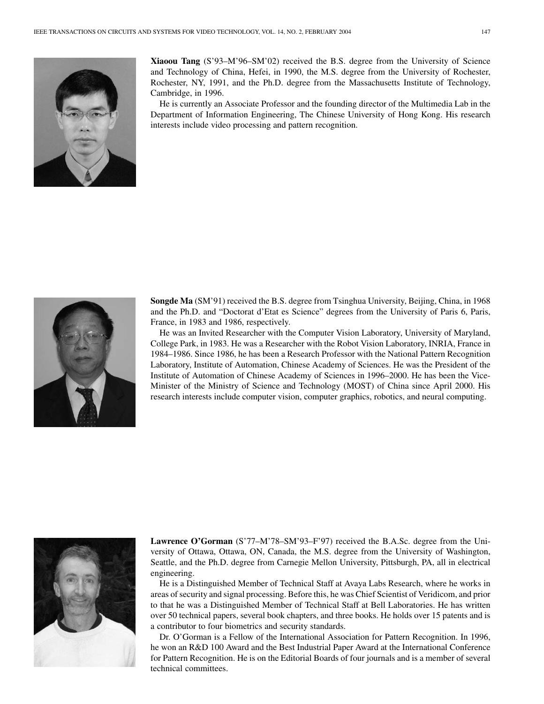

**Xiaoou Tang** (S'93–M'96–SM'02) received the B.S. degree from the University of Science and Technology of China, Hefei, in 1990, the M.S. degree from the University of Rochester, Rochester, NY, 1991, and the Ph.D. degree from the Massachusetts Institute of Technology, Cambridge, in 1996.

He is currently an Associate Professor and the founding director of the Multimedia Lab in the Department of Information Engineering, The Chinese University of Hong Kong. His research interests include video processing and pattern recognition.



**Songde Ma** (SM'91) received the B.S. degree from Tsinghua University, Beijing, China, in 1968 and the Ph.D. and "Doctorat d'Etat es Science" degrees from the University of Paris 6, Paris, France, in 1983 and 1986, respectively.

He was an Invited Researcher with the Computer Vision Laboratory, University of Maryland, College Park, in 1983. He was a Researcher with the Robot Vision Laboratory, INRIA, France in 1984–1986. Since 1986, he has been a Research Professor with the National Pattern Recognition Laboratory, Institute of Automation, Chinese Academy of Sciences. He was the President of the Institute of Automation of Chinese Academy of Sciences in 1996–2000. He has been the Vice-Minister of the Ministry of Science and Technology (MOST) of China since April 2000. His research interests include computer vision, computer graphics, robotics, and neural computing.



**Lawrence O'Gorman** (S'77–M'78–SM'93–F'97) received the B.A.Sc. degree from the University of Ottawa, Ottawa, ON, Canada, the M.S. degree from the University of Washington, Seattle, and the Ph.D. degree from Carnegie Mellon University, Pittsburgh, PA, all in electrical engineering.

He is a Distinguished Member of Technical Staff at Avaya Labs Research, where he works in areas of security and signal processing. Before this, he was Chief Scientist of Veridicom, and prior to that he was a Distinguished Member of Technical Staff at Bell Laboratories. He has written over 50 technical papers, several book chapters, and three books. He holds over 15 patents and is a contributor to four biometrics and security standards.

Dr. O'Gorman is a Fellow of the International Association for Pattern Recognition. In 1996, he won an R&D 100 Award and the Best Industrial Paper Award at the International Conference for Pattern Recognition. He is on the Editorial Boards of four journals and is a member of several technical committees.